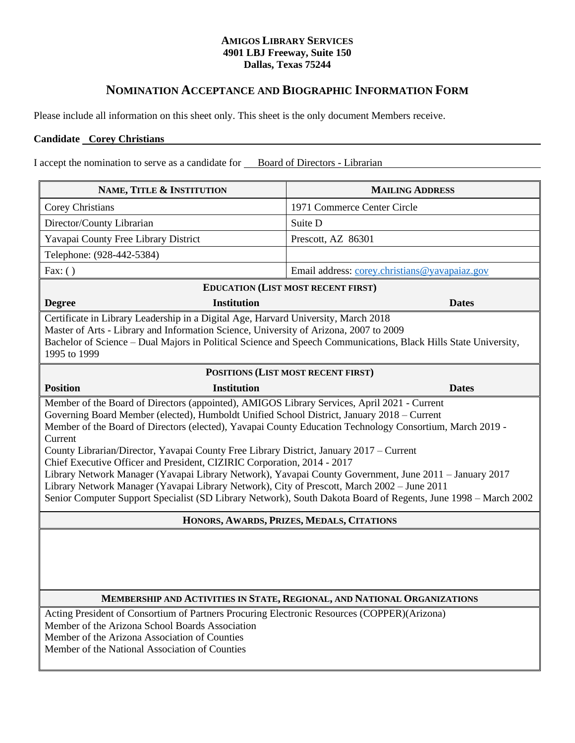## **AMIGOS LIBRARY SERVICES 4901 LBJ Freeway, Suite 150 Dallas, Texas 75244**

## **NOMINATION ACCEPTANCE AND BIOGRAPHIC INFORMATION FORM**

Please include all information on this sheet only. This sheet is the only document Members receive.

## **Candidate Corey Christians**

I accept the nomination to serve as a candidate for Board of Directors - Librarian

| NAME, TITLE & INSTITUTION                                                                                                                                                                                                                                                                                                                                                                                                                                                                                                                                                                                                                                                                                                                                                                                         | <b>MAILING ADDRESS</b>                        |
|-------------------------------------------------------------------------------------------------------------------------------------------------------------------------------------------------------------------------------------------------------------------------------------------------------------------------------------------------------------------------------------------------------------------------------------------------------------------------------------------------------------------------------------------------------------------------------------------------------------------------------------------------------------------------------------------------------------------------------------------------------------------------------------------------------------------|-----------------------------------------------|
| <b>Corey Christians</b>                                                                                                                                                                                                                                                                                                                                                                                                                                                                                                                                                                                                                                                                                                                                                                                           | 1971 Commerce Center Circle                   |
| Director/County Librarian                                                                                                                                                                                                                                                                                                                                                                                                                                                                                                                                                                                                                                                                                                                                                                                         | Suite D                                       |
| Yavapai County Free Library District                                                                                                                                                                                                                                                                                                                                                                                                                                                                                                                                                                                                                                                                                                                                                                              | Prescott, AZ 86301                            |
| Telephone: (928-442-5384)                                                                                                                                                                                                                                                                                                                                                                                                                                                                                                                                                                                                                                                                                                                                                                                         |                                               |
| Fax: $( )$                                                                                                                                                                                                                                                                                                                                                                                                                                                                                                                                                                                                                                                                                                                                                                                                        | Email address: corey.christians@yavapaiaz.gov |
| <b>EDUCATION (LIST MOST RECENT FIRST)</b>                                                                                                                                                                                                                                                                                                                                                                                                                                                                                                                                                                                                                                                                                                                                                                         |                                               |
| <b>Institution</b><br><b>Degree</b>                                                                                                                                                                                                                                                                                                                                                                                                                                                                                                                                                                                                                                                                                                                                                                               | <b>Dates</b>                                  |
| Master of Arts - Library and Information Science, University of Arizona, 2007 to 2009<br>Bachelor of Science – Dual Majors in Political Science and Speech Communications, Black Hills State University,<br>1995 to 1999<br>POSITIONS (LIST MOST RECENT FIRST)                                                                                                                                                                                                                                                                                                                                                                                                                                                                                                                                                    |                                               |
| <b>Position</b><br><b>Institution</b>                                                                                                                                                                                                                                                                                                                                                                                                                                                                                                                                                                                                                                                                                                                                                                             | <b>Dates</b>                                  |
| Member of the Board of Directors (appointed), AMIGOS Library Services, April 2021 - Current<br>Governing Board Member (elected), Humboldt Unified School District, January 2018 - Current<br>Member of the Board of Directors (elected), Yavapai County Education Technology Consortium, March 2019 -<br>Current<br>County Librarian/Director, Yavapai County Free Library District, January 2017 – Current<br>Chief Executive Officer and President, CIZIRIC Corporation, 2014 - 2017<br>Library Network Manager (Yavapai Library Network), Yavapai County Government, June 2011 - January 2017<br>Library Network Manager (Yavapai Library Network), City of Prescott, March 2002 - June 2011<br>Senior Computer Support Specialist (SD Library Network), South Dakota Board of Regents, June 1998 – March 2002 |                                               |
| HONORS, AWARDS, PRIZES, MEDALS, CITATIONS                                                                                                                                                                                                                                                                                                                                                                                                                                                                                                                                                                                                                                                                                                                                                                         |                                               |
| MEMBERSHIP AND ACTIVITIES IN STATE, REGIONAL, AND NATIONAL ORGANIZATIONS                                                                                                                                                                                                                                                                                                                                                                                                                                                                                                                                                                                                                                                                                                                                          |                                               |
| Acting President of Consortium of Partners Procuring Electronic Resources (COPPER)(Arizona)<br>Member of the Arizona School Boards Association<br>Member of the Arizona Association of Counties<br>Member of the National Association of Counties                                                                                                                                                                                                                                                                                                                                                                                                                                                                                                                                                                 |                                               |